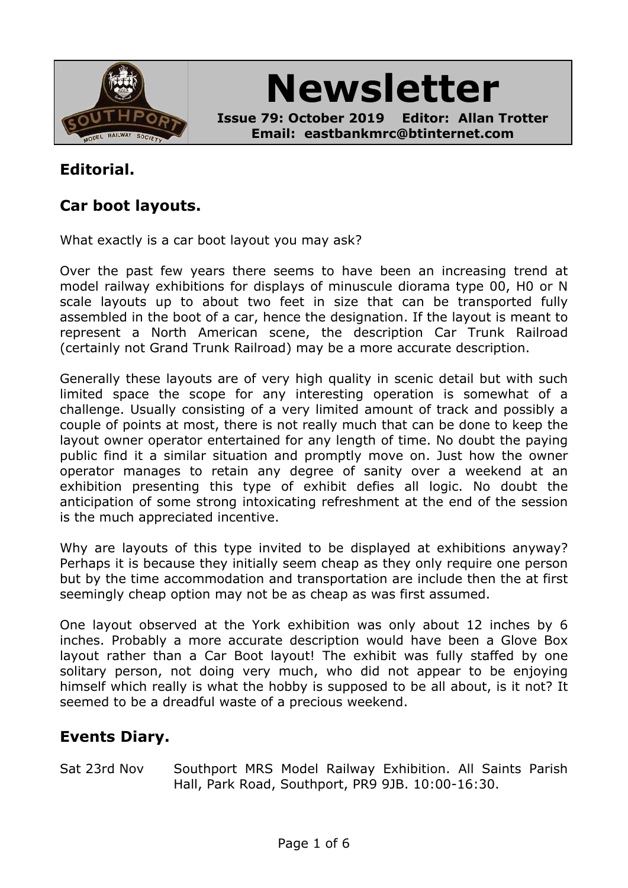

**Newsletter**

**Issue 79: October 2019 Editor: Allan Trotter Email: eastbankmrc@btinternet.com**

## **Editorial.**

## **Car boot layouts.**

What exactly is a car boot layout you may ask?

Over the past few years there seems to have been an increasing trend at model railway exhibitions for displays of minuscule diorama type 00, H0 or N scale layouts up to about two feet in size that can be transported fully assembled in the boot of a car, hence the designation. If the layout is meant to represent a North American scene, the description Car Trunk Railroad (certainly not Grand Trunk Railroad) may be a more accurate description.

Generally these layouts are of very high quality in scenic detail but with such limited space the scope for any interesting operation is somewhat of a challenge. Usually consisting of a very limited amount of track and possibly a couple of points at most, there is not really much that can be done to keep the layout owner operator entertained for any length of time. No doubt the paying public find it a similar situation and promptly move on. Just how the owner operator manages to retain any degree of sanity over a weekend at an exhibition presenting this type of exhibit defies all logic. No doubt the anticipation of some strong intoxicating refreshment at the end of the session is the much appreciated incentive.

Why are layouts of this type invited to be displayed at exhibitions anyway? Perhaps it is because they initially seem cheap as they only require one person but by the time accommodation and transportation are include then the at first seemingly cheap option may not be as cheap as was first assumed.

One layout observed at the York exhibition was only about 12 inches by 6 inches. Probably a more accurate description would have been a Glove Box layout rather than a Car Boot layout! The exhibit was fully staffed by one solitary person, not doing very much, who did not appear to be enjoying himself which really is what the hobby is supposed to be all about, is it not? It seemed to be a dreadful waste of a precious weekend.

## **Events Diary.**

Sat 23rd Nov Southport MRS Model Railway Exhibition. All Saints Parish Hall, Park Road, Southport, PR9 9JB. 10:00-16:30.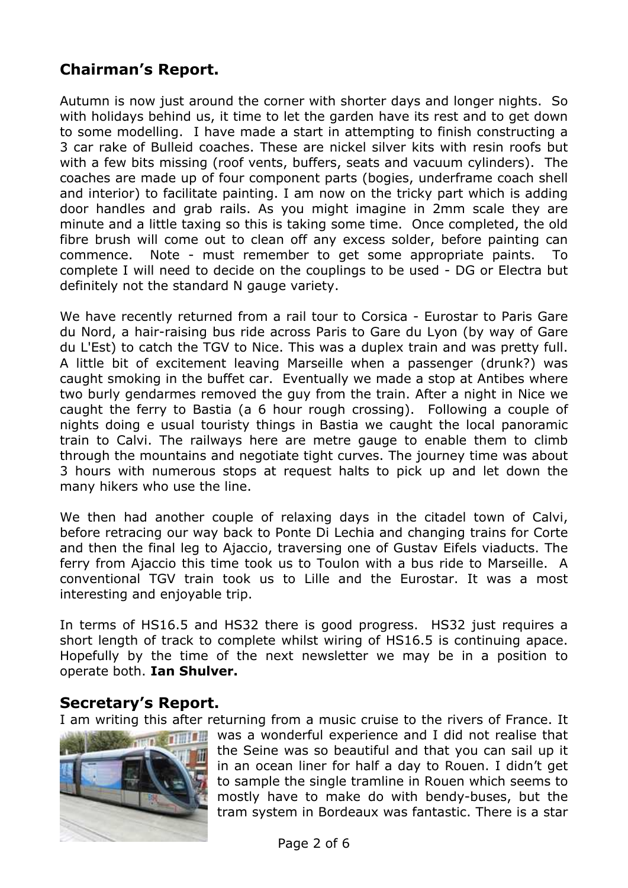# **Chairman's Report.**

Autumn is now just around the corner with shorter days and longer nights. So with holidays behind us, it time to let the garden have its rest and to get down to some modelling. I have made a start in attempting to finish constructing a 3 car rake of Bulleid coaches. These are nickel silver kits with resin roofs but with a few bits missing (roof vents, buffers, seats and vacuum cylinders). The coaches are made up of four component parts (bogies, underframe coach shell and interior) to facilitate painting. I am now on the tricky part which is adding door handles and grab rails. As you might imagine in 2mm scale they are minute and a little taxing so this is taking some time. Once completed, the old fibre brush will come out to clean off any excess solder, before painting can commence. Note - must remember to get some appropriate paints. To complete I will need to decide on the couplings to be used - DG or Electra but definitely not the standard N gauge variety.

We have recently returned from a rail tour to Corsica - Eurostar to Paris Gare du Nord, a hair-raising bus ride across Paris to Gare du Lyon (by way of Gare du L'Est) to catch the TGV to Nice. This was a duplex train and was pretty full. A little bit of excitement leaving Marseille when a passenger (drunk?) was caught smoking in the buffet car. Eventually we made a stop at Antibes where two burly gendarmes removed the guy from the train. After a night in Nice we caught the ferry to Bastia (a 6 hour rough crossing). Following a couple of nights doing e usual touristy things in Bastia we caught the local panoramic train to Calvi. The railways here are metre gauge to enable them to climb through the mountains and negotiate tight curves. The journey time was about 3 hours with numerous stops at request halts to pick up and let down the many hikers who use the line.

We then had another couple of relaxing days in the citadel town of Calvi, before retracing our way back to Ponte Di Lechia and changing trains for Corte and then the final leg to Ajaccio, traversing one of Gustav Eifels viaducts. The ferry from Ajaccio this time took us to Toulon with a bus ride to Marseille. A conventional TGV train took us to Lille and the Eurostar. It was a most interesting and enjoyable trip.

In terms of HS16.5 and HS32 there is good progress. HS32 just requires a short length of track to complete whilst wiring of HS16.5 is continuing apace. Hopefully by the time of the next newsletter we may be in a position to operate both. **Ian Shulver.**

### **Secretary's Report.**

I am writing this after returning from a music cruise to the rivers of France. It



was a wonderful experience and I did not realise that the Seine was so beautiful and that you can sail up it in an ocean liner for half a day to Rouen. I didn't get to sample the single tramline in Rouen which seems to mostly have to make do with bendy-buses, but the tram system in Bordeaux was fantastic. There is a star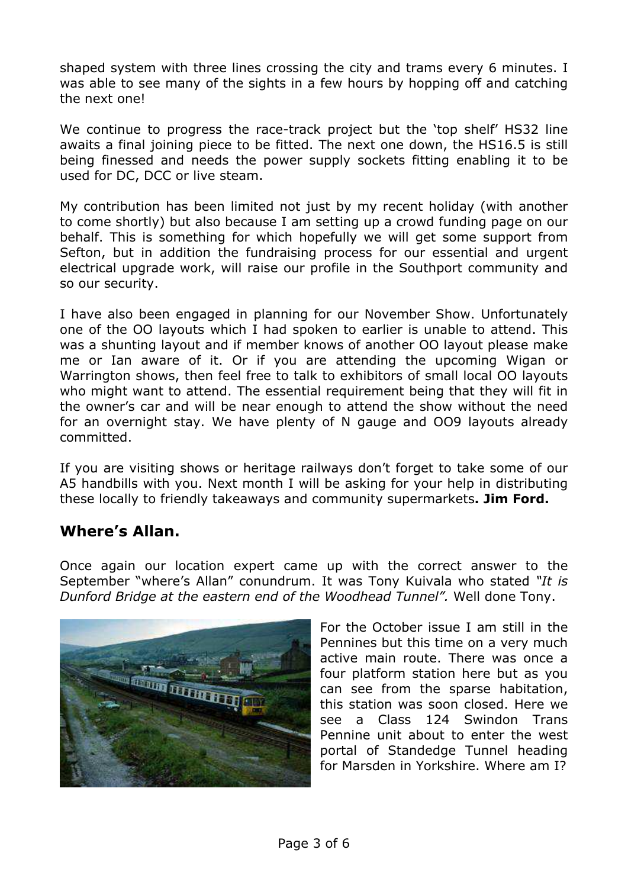shaped system with three lines crossing the city and trams every 6 minutes. I was able to see many of the sights in a few hours by hopping off and catching the next one!

We continue to progress the race-track project but the 'top shelf' HS32 line awaits a final joining piece to be fitted. The next one down, the HS16.5 is still being finessed and needs the power supply sockets fitting enabling it to be used for DC, DCC or live steam.

My contribution has been limited not just by my recent holiday (with another to come shortly) but also because I am setting up a crowd funding page on our behalf. This is something for which hopefully we will get some support from Sefton, but in addition the fundraising process for our essential and urgent electrical upgrade work, will raise our profile in the Southport community and so our security.

I have also been engaged in planning for our November Show. Unfortunately one of the OO layouts which I had spoken to earlier is unable to attend. This was a shunting layout and if member knows of another OO layout please make me or Ian aware of it. Or if you are attending the upcoming Wigan or Warrington shows, then feel free to talk to exhibitors of small local OO layouts who might want to attend. The essential requirement being that they will fit in the owner's car and will be near enough to attend the show without the need for an overnight stay. We have plenty of N gauge and OO9 layouts already committed.

If you are visiting shows or heritage railways don't forget to take some of our A5 handbills with you. Next month I will be asking for your help in distributing these locally to friendly takeaways and community supermarkets**. Jim Ford.**

### **Where's Allan.**

Once again our location expert came up with the correct answer to the September "where's Allan" conundrum. It was Tony Kuivala who stated *"It is Dunford Bridge at the eastern end of the Woodhead Tunnel".* Well done Tony.



For the October issue I am still in the Pennines but this time on a very much active main route. There was once a four platform station here but as you can see from the sparse habitation, this station was soon closed. Here we see a Class 124 Swindon Trans Pennine unit about to enter the west portal of Standedge Tunnel heading for Marsden in Yorkshire. Where am I?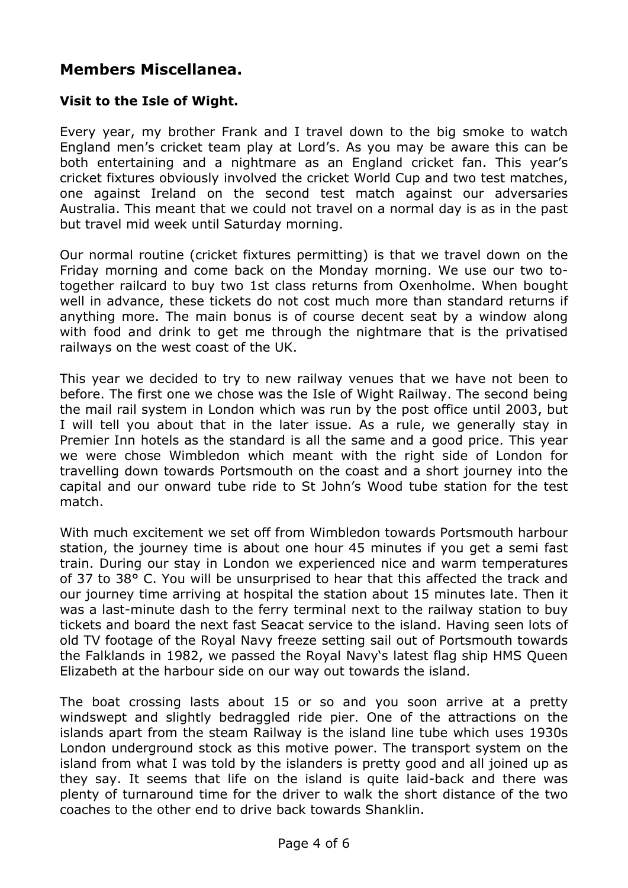## **Members Miscellanea.**

#### **Visit to the Isle of Wight.**

Every year, my brother Frank and I travel down to the big smoke to watch England men's cricket team play at Lord's. As you may be aware this can be both entertaining and a nightmare as an England cricket fan. This year's cricket fixtures obviously involved the cricket World Cup and two test matches, one against Ireland on the second test match against our adversaries Australia. This meant that we could not travel on a normal day is as in the past but travel mid week until Saturday morning.

Our normal routine (cricket fixtures permitting) is that we travel down on the Friday morning and come back on the Monday morning. We use our two totogether railcard to buy two 1st class returns from Oxenholme. When bought well in advance, these tickets do not cost much more than standard returns if anything more. The main bonus is of course decent seat by a window along with food and drink to get me through the nightmare that is the privatised railways on the west coast of the UK.

This year we decided to try to new railway venues that we have not been to before. The first one we chose was the Isle of Wight Railway. The second being the mail rail system in London which was run by the post office until 2003, but I will tell you about that in the later issue. As a rule, we generally stay in Premier Inn hotels as the standard is all the same and a good price. This year we were chose Wimbledon which meant with the right side of London for travelling down towards Portsmouth on the coast and a short journey into the capital and our onward tube ride to St John's Wood tube station for the test match.

With much excitement we set off from Wimbledon towards Portsmouth harbour station, the journey time is about one hour 45 minutes if you get a semi fast train. During our stay in London we experienced nice and warm temperatures of 37 to 38° C. You will be unsurprised to hear that this affected the track and our journey time arriving at hospital the station about 15 minutes late. Then it was a last-minute dash to the ferry terminal next to the railway station to buy tickets and board the next fast Seacat service to the island. Having seen lots of old TV footage of the Royal Navy freeze setting sail out of Portsmouth towards the Falklands in 1982, we passed the Royal Navy's latest flag ship HMS Queen Elizabeth at the harbour side on our way out towards the island.

The boat crossing lasts about 15 or so and you soon arrive at a pretty windswept and slightly bedraggled ride pier. One of the attractions on the islands apart from the steam Railway is the island line tube which uses 1930s London underground stock as this motive power. The transport system on the island from what I was told by the islanders is pretty good and all joined up as they say. It seems that life on the island is quite laid-back and there was plenty of turnaround time for the driver to walk the short distance of the two coaches to the other end to drive back towards Shanklin.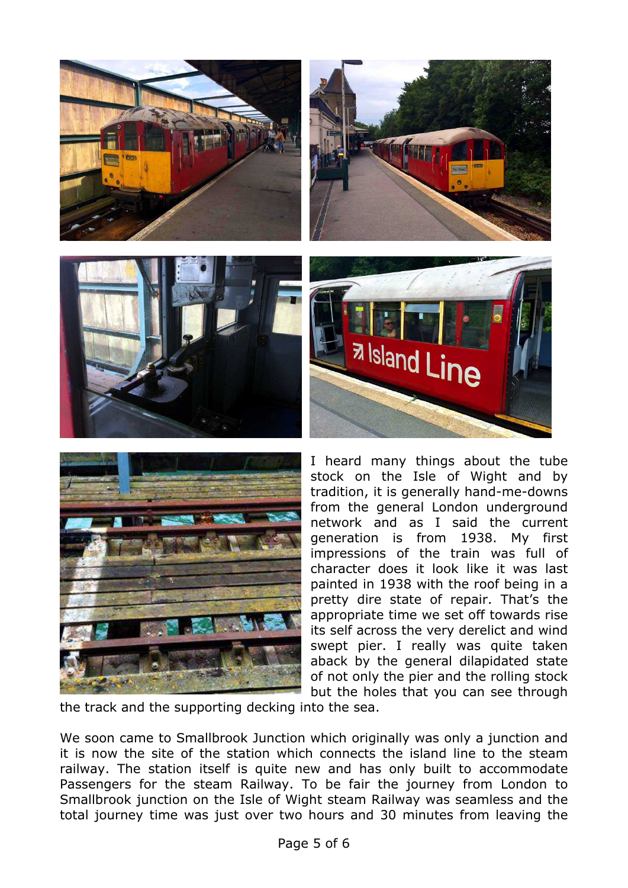



I heard many things about the tube stock on the Isle of Wight and by tradition, it is generally hand-me-downs from the general London underground network and as I said the current generation is from 1938. My first impressions of the train was full of character does it look like it was last painted in 1938 with the roof being in a pretty dire state of repair. That's the appropriate time we set off towards rise its self across the very derelict and wind swept pier. I really was quite taken aback by the general dilapidated state of not only the pier and the rolling stock but the holes that you can see through

the track and the supporting decking into the sea.

We soon came to Smallbrook Junction which originally was only a junction and it is now the site of the station which connects the island line to the steam railway. The station itself is quite new and has only built to accommodate Passengers for the steam Railway. To be fair the journey from London to Smallbrook junction on the Isle of Wight steam Railway was seamless and the total journey time was just over two hours and 30 minutes from leaving the